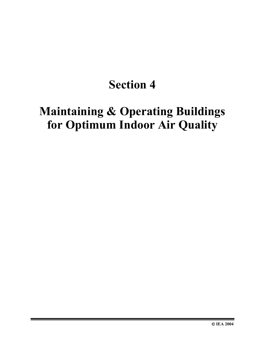# **Section 4**

# **Maintaining & Operating Buildings for Optimum Indoor Air Quality**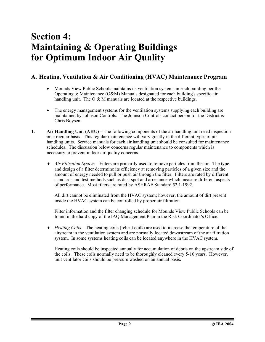### **Section 4: Maintaining & Operating Buildings for Optimum Indoor Air Quality**

### **A. Heating, Ventilation & Air Conditioning (HVAC) Maintenance Program**

- Mounds View Public Schools maintains its ventilation systems in each building per the Operating & Maintenance (O&M) Manuals designated for each building's specific air handling unit. The O & M manuals are located at the respective buildings.
- The energy management systems for the ventilation systems supplying each building are maintained by Johnson Controls. The Johnson Controls contact person for the District is Chris Boysen.
- **1.** Air Handling Unit (AHU) The following components of the air handling unit need inspection on a regular basis. This regular maintenance will vary greatly in the different types of air handling units. Service manuals for each air handling unit should be consulted for maintenance schedules. The discussion below concerns regular maintenance to components which is necessary to prevent indoor air quality concerns.
	- ♦ *Air Filtration System* Filters are primarily used to remove particles from the air. The type and design of a filter determine its efficiency at removing particles of a given size and the amount of energy needed to pull or push air through the filter. Filters are rated by different standards and test methods such as dust spot and arrestance which measure different aspects of performance. Most filters are rated by ASHRAE Standard 52.1-1992.

All dirt cannot be eliminated from the HVAC system; however, the amount of dirt present inside the HVAC system can be controlled by proper air filtration.

Filter information and the filter changing schedule for Mounds View Public Schools can be found in the hard copy of the IAQ Management Plan in the Risk Coordinator's Office.

♦ *Heating Coils* – The heating coils (reheat coils) are used to increase the temperature of the airstream in the ventilation system and are normally located downstream of the air filtration system. In some systems heating coils can be located anywhere in the HVAC system.

Heating coils should be inspected annually for accumulation of debris on the upstream side of the coils. These coils normally need to be thoroughly cleaned every 5-10 years. However, unit ventilator coils should be pressure washed on an annual basis.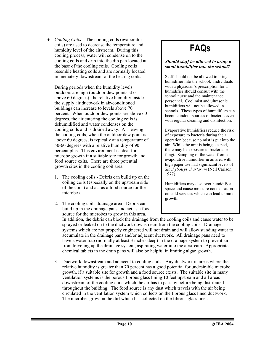♦ *Cooling Coils* – The cooling coils (evaporator coils) are used to decrease the temperature and humidity level of the airstream. During this cooling process, water will condense on to the cooling coils and drip into the dip pan located at the base of the cooling coils. Cooling coils resemble heating coils and are normally located immediately downstream of the heating coils.

During periods when the humidity levels outdoors are high (outdoor dew points at or above 60 degrees), the relative humidity inside the supply air ductwork in air-conditioned buildings can increase to levels above 70 percent. When outdoor dew points are above 60 degrees, the air entering the cooling coils is dehumidified and water condenses on the cooling coils and is drained away. Air leaving the cooling coils, when the outdoor dew point is above 60 degrees, is typically at a temperature of 50-60 degrees with a relative humidity of 90 percent plus. This environment is ideal for microbe growth if a suitable site for growth and food source exits. There are three potential growth sites in the cooling coil area.

- 1. The cooling coils Debris can build up on the coiling coils (especially on the upstream side of the coils) and act as a food source for the microbes.
- 2. The cooling coils drainage area Debris can build up in the drainage pans and act as a food source for the microbes to grow in this area.

## **FAQs**

#### *Should staff be allowed to bring a small humidifier into the school?*

Staff should not be allowed to bring a humidifier into the school. Individuals with a physician's prescription for a humidifier should consult with the school nurse and the maintenance personnel. Cool mist and ultrasonic humidifiers will not be allowed in schools. These types of humidifiers can become indoor sources of bacteria even with regular cleaning and disinfection.

Evaporative humidifiers reduce the risk of exposure to bacteria during their operation because no mist is put into the air. While the unit is being cleaned, there may be exposure to bacteria or fungi. Sampling of the water from an evaporative humidifier in an area with high paper use had significant levels of *Stachybotrys chartarum* (Neil Carlson, 1977).

Humidifiers may also over humidify a space and cause moisture condensation on cold services which can lead to mold growth.

In addition, the debris can block the drainage from the cooling coils and cause water to be sprayed or leaked on to the ductwork downstream from the cooling coils. Drainage systems which are not properly engineered will not drain and will allow standing water to accumulate in the drainage pans and/or adjacent ductwork. All drainage pans need to have a water trap (normally at least 3 inches deep) in the drainage system to prevent air from traveling up the drainage system, aspirating water into the airstream. Appropriate chemical tablets in the drain pans will also be helpful in limiting algae growth.

3. Ductwork downstream and adjacent to cooling coils - Any ductwork in areas where the relative humidity is greater than 70 percent has a good potential for undesirable microbe growth, if a suitable site for growth and a food source exists. The suitable site in many ventilation systems is the porous fibrous glass lining 10 feet upstream and all areas downstream of the cooling coils which the air has to pass by before being distributed throughout the building. The food source is any dust which travels with the air being circulated in the ventilation system which collects on the fibrous glass lined ductwork. The microbes grow on the dirt which has collected on the fibrous glass liner.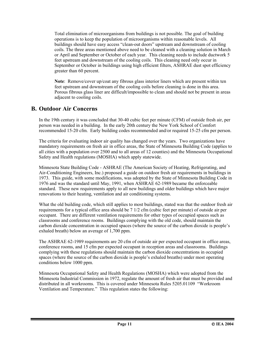Total elimination of microorganisms from buildings is not possible. The goal of building operations is to keep the population of microorganisms within reasonable levels. All buildings should have easy access "clean-out doors" upstream and downstream of cooling coils. The three areas mentioned above need to be cleaned with a cleaning solution in March or April and September or October of each year. This cleaning needs to include ductwork 5 feet upstream and downstream of the cooling coils. This cleaning need only occur in September or October in buildings using high efficient filters, ASHRAE dust spot efficiency greater than 60 percent.

**Note**: Remove/cover up/coat any fibrous glass interior liners which are present within ten feet upstream and downstream of the cooling coils before cleaning is done in this area. Porous fibrous glass liner are difficult/impossible to clean and should not be present in areas adjacent to cooling coils.

#### **B. Outdoor Air Concerns**

In the 19th century it was concluded that 30-40 cubic feet per minute (CFM) of outside fresh air, per person was needed in a building. In the early 20th century the New York School of Comfort recommended 15-20 cfm. Early building codes recommended and/or required 15-25 cfm per person.

The criteria for evaluating indoor air quality has changed over the years. Two organizations have mandatory requirements on fresh air in office areas, the State of Minnesota Building Code (applies to all cities with a population over 2500 and to all areas of 12 counties) and the Minnesota Occupational Safety and Health regulations (MOSHA) which apply statewide.

Minnesota State Building Code - ASHRAE (The American Society of Heating, Refrigerating, and Air-Conditioning Engineers, Inc.) proposed a guide on outdoor fresh air requirements in buildings in 1973. This guide, with some modifications, was adopted by the State of Minnesota Building Code in 1976 and was the standard until May, 1991, when ASHRAE 62-1989 became the enforceable standard. These new requirements apply to all new buildings and older buildings which have major renovations to their heating, ventilation and air conditioning systems.

What the old building code, which still applies to most buildings, stated was that the outdoor fresh air requirements for a typical office area should be 7 1/2 cfm (cubic feet per minute) of outside air per occupant. There are different ventilation requirements for other types of occupied spaces such as classrooms and conference rooms. Buildings complying with the old code, should maintain the carbon dioxide concentration in occupied spaces (where the source of the carbon dioxide is people's exhaled breath) below an average of 1,700 ppm.

The ASHRAE 62-1989 requirements are 20 cfm of outside air per expected occupant in office areas, conference rooms, and 15 cfm per expected occupant in reception areas and classrooms. Buildings complying with these regulations should maintain the carbon dioxide concentrations in occupied spaces (where the source of the carbon dioxide is people's exhaled breaths) under most operating conditions below 1000 ppm.

Minnesota Occupational Safety and Health Regulations (MOSHA) which were adopted from the Minnesota Industrial Commission in 1972, regulate the amount of fresh air that must be provided and distributed in all workrooms. This is covered under Minnesota Rules 5205.01109 "Workroom Ventilation and Temperature." This regulation states the following: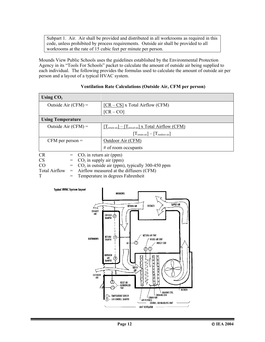Subpart 1. Air. Air shall be provided and distributed in all workrooms as required in this code, unless prohibited by process requirements. Outside air shall be provided to all workrooms at the rate of 15 cubic feet per minute per person.

Mounds View Public Schools uses the guidelines established by the Environmental Protection Agency in its "Tools For Schools" packet to calculate the amount of outside air being supplied to each individual. The following provides the formulas used to calculate the amount of outside air per person and a layout of a typical HVAC system.

| Using $CO2$                            |                                                                   |  |
|----------------------------------------|-------------------------------------------------------------------|--|
| Outside Air $(CFM)$ =                  | $[CR - CS]$ x Total Airflow (CFM)                                 |  |
|                                        | $[CR - CO]$                                                       |  |
| <b>Using Temperature</b>               |                                                                   |  |
| Outside Air $(CFM)$ =                  | $[T_{return\ air}] - [T_{mixed\ air}] \times Total Airflow (CFM)$ |  |
|                                        | $[T_{return\ air}] - [T_{outdoor\ air}]$                          |  |
| $CFM$ per person $=$                   | Outdoor Air (CFM)                                                 |  |
|                                        | $#$ of room occupants                                             |  |
| <b>CR</b><br>$CO2$ in return air (ppm) |                                                                   |  |
| <b>CS</b>                              | $CO2$ in supply air (ppm)                                         |  |
| CO <sub>.</sub>                        | $CO2$ in outside air (ppm), typically 300-450 ppm                 |  |
| <b>Total Airflow</b><br>$=$            | Airflow measured at the diffusers (CFM)                           |  |

#### **Ventilation Rate Calculations (Outside Air, CFM per person)**

T = Temperature in degrees Fahrenheit

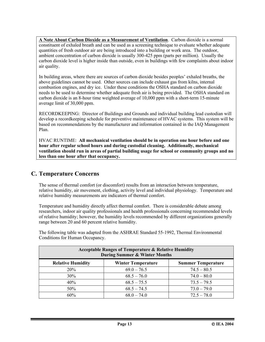**A Note About Carbon Dioxide as a Measurement of Ventilation**. Carbon dioxide is a normal constituent of exhaled breath and can be used as a screening technique to evaluate whether adequate quantities of fresh outdoor air are being introduced into a building or work area. The outdoor, ambient concentration of carbon dioxide is usually 300-425 ppm (parts per million). Usually the carbon dioxide level is higher inside than outside, even in buildings with few complaints about indoor air quality.

In building areas, where there are sources of carbon dioxide besides peoples' exhaled breaths, the above guidelines cannot be used. Other sources can include exhaust gas from kilns, internal combustion engines, and dry ice. Under these conditions the OSHA standard on carbon dioxide needs to be used to determine whether adequate fresh air is being provided. The OSHA standard on carbon dioxide is an 8-hour time weighted average of 10,000 ppm with a short-term 15-minute average limit of 30,000 ppm.

RECORDKEEPING: Director of Buildings and Grounds and individual building lead custodian will develop a recordkeeping schedule for preventive maintenance of HVAC systems. This system will be based on recommendations by the manufacturer and information contained in the IAQ Management Plan.

HVAC RUNTIME: **All mechanical ventilation should be in operation one hour before and one hour after regular school hours and during custodial cleaning. Additionally, mechanical ventilation should run in areas of partial building usage for school or community groups and no less than one hour after that occupancy.**

### **C. Temperature Concerns**

The sense of thermal comfort (or discomfort) results from an interaction between temperature, relative humidity, air movement, clothing, activity level and individual physiology. Temperature and relative humidity measurements are indicators of thermal comfort.

Temperature and humidity directly affect thermal comfort. There is considerable debate among researchers, indoor air quality professionals and health professionals concerning recommended levels of relative humidity; however, the humidity levels recommended by different organizations generally range between 20 and 60 percent relative humidity.

The following table was adapted from the ASHRAE Standard 55-1992, Thermal Environmental Conditions for Human Occupancy.

| <b>Acceptable Ranges of Temperature &amp; Relative Humidity</b><br><b>During Summer &amp; Winter Months</b> |                           |                           |  |
|-------------------------------------------------------------------------------------------------------------|---------------------------|---------------------------|--|
| <b>Relative Humidity</b>                                                                                    | <b>Winter Temperature</b> | <b>Summer Temperature</b> |  |
| 20%                                                                                                         | $69.0 - 76.5$             | $74.5 - 80.5$             |  |
| 30%                                                                                                         | $68.5 - 76.0$             | $74.0 - 80.0$             |  |
| 40%                                                                                                         | $68.5 - 75.5$             | $73.5 - 79.5$             |  |
| 50%                                                                                                         | $68.5 - 74.5$             | $73.0 - 79.0$             |  |
| 60%                                                                                                         | $68.0 - 74.0$             | $72.5 - 78.0$             |  |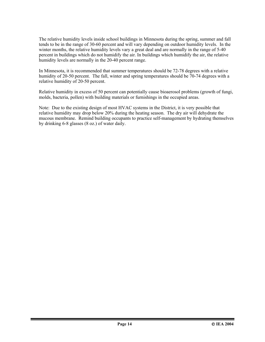The relative humidity levels inside school buildings in Minnesota during the spring, summer and fall tends to be in the range of 30-60 percent and will vary depending on outdoor humidity levels. In the winter months, the relative humidity levels vary a great deal and are normally in the range of 5-40 percent in buildings which do not humidify the air. In buildings which humidify the air, the relative humidity levels are normally in the 20-40 percent range.

In Minnesota, it is recommended that summer temperatures should be 72-78 degrees with a relative humidity of 20-50 percent. The fall, winter and spring temperatures should be 70-74 degrees with a relative humidity of 20-50 percent.

Relative humidity in excess of 50 percent can potentially cause bioaerosol problems (growth of fungi, molds, bacteria, pollen) with building materials or furnishings in the occupied areas.

Note: Due to the existing design of most HVAC systems in the District, it is very possible that relative humidity may drop below 20% during the heating season. The dry air will dehydrate the mucous membrane. Remind building occupants to practice self-management by hydrating themselves by drinking 6-8 glasses (8 oz.) of water daily.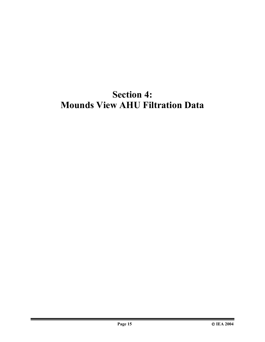## **Section 4: Mounds View AHU Filtration Data**